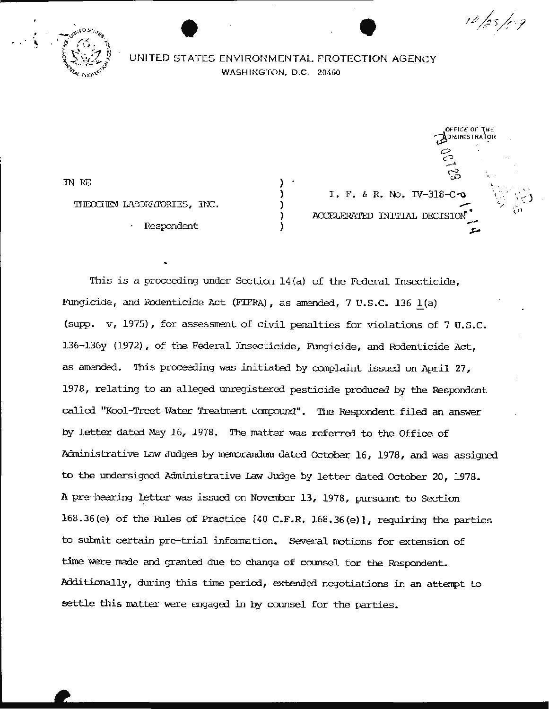

# **EXECUTIVE STATES ENVIRONMENTAL PROTECTION AGENCY** WASHINGTON, D.C. 20460

) ) ) ) )

*m* ru:: THEOCHEM LABORATORIES. INC.

Respondent

I. F. & R. No. IV-318-C. .,.- ACCELERATED INITIAL DECISION

OFFICE OF THE  $j$ oministrator $\sum$ 

~

' .

10 /25 /ag

<sup>0</sup>c-? <u>\_</u>\_\_  $\tilde{\varphi}$ 

This is a proceeding under Section  $14(a)$  of the Federal Insecticide, Fungicide, and Rodenticide Act (FIFRA), as amended, 7 U.S.C. 136 1(a) (supp. v, 1975), for assessment of civil penalties for violations of 7 U.S.C. 136-136y (1972), of the Federal Insecticide, Fungicide, and Rodenticide Act, as amended. This proceeding was initiated by complaint issued on April 27. 1978, relating to an alleged unregistered pesticide produced by the Respondent called "Kool-Treet Water Treatment compound". The Respondent filed an answer by letter dated May 16, 1978. The matter was referred to the Office of Administrative Law Judges by merrorandum dated October 16 , 1978, and was assigned to the undersigned Administrative Law Judge by letter dated October 20, 1978. A pre-hearing letter was issued on November 13, 1978, pursuant to Section 168.36(e) of the Rules of Practice  $[40 \text{ C.F.R. } 168.36(e)]$ , requiring the parties to submit certain pre-trial information. Several motions for extension of time were made and granted due to change of counsel for the Respondent. Additionally, during this time period, extended negotiations in an attempt to settle this matter were engaged in by counsel for the parties.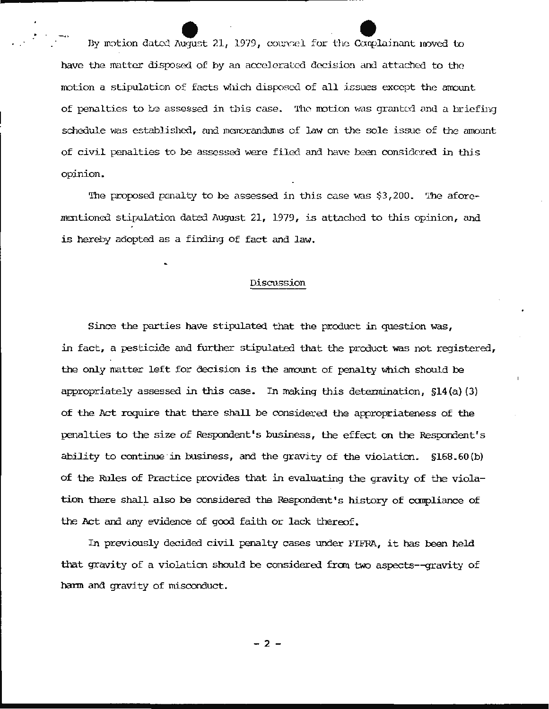e e By m..'Jtion dutL"\:1 l\ucJust 21 , 1979, cotm:-:el for the Ccmpl a:inant 1noved to have the matter disposed of by an accelerated decision and attached to the  $m$ otion a stipulation of facts which disposed of all issues except the amount of penalties to be assessed in this case. The motion was granted and a briefing schedule was established, and memorandums of law on the sole issue of the amount of civil penalties to be assessed were filed and have been considered in this opinion.

The proposed penalty to be assessed in this case was \$3,200. The aforementioned stipulation dated August 21, 1979, is attached to this opinion, and is hereby adopted as a finding of fact and law.

### Discussion

Since the parties have stipulated that the product in question was, in fact, a pesticide and further stipulated that the product was not registered, the only matter left for decision is the arrount of penalty which should be appropriately assessed in this case. In making this determination, \$14(a)(3) of the Act require that there shall be considered the appropriateness of the penalties to the size of Respondent 's business, the effect on the Respondent' <sup>s</sup> ability to continue in business, and the gravity of the violation.  $$168.60(b)$ of the Rules of Practice provides that in evaluating the gravity of the violation there shall also be considered the Respondent's history of compliance of the Act and any evidence of good faith or lack thereof.

In previously decided civil penalty cases under FIFRA, it has been held that gravity of a violation should be considered fran two aspects- -gravity of hann and gravity of misconduct.

- 2 -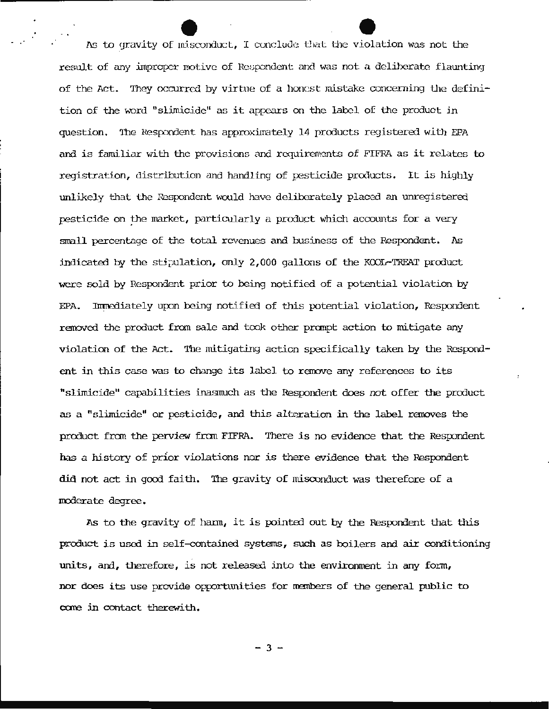As to gravity of misconduct, I conclude that the violation was not the result of any improper motive of Respondent and was not a deliberate flaunting of the Act. They occurred by virtue of a honest mistake concerning the definition of the word "slimicide" as it appears on the label of the product in question. The Respondent has approximately 14 products registered with EPA and is familiar with the provisions and requirements of FIFRA as it relates to registration, distribution and handling of pesticide products. It *is* highly unlikely that the Respondent would have deliberately placed an unregistered pesticide on the market, particularly a product which accounts for a very small percentage of the total revenues and business of the Respondent. As indicated by the stipulation, only  $2,000$  gallons of the KOOL-TREAT product were sold by Respondent prior to being notified of a potential violation by EPA. Inmediately upon being notified of this potential violation, Respondent removed the product fran sale and took other pranpt action to mitigate any violation of the Act. The mitigating action specifically taken by the Respondent in this case was to change its label to remove any references to its " slimicide" capabilities inasmuch as the Respondent does not offer the product as a "slimicide" or pesticide, and this alteration in the label removes the product from the perview from FIFRA. There is no evidence that the Respondent has a history of prior violations nor is there evidence that the Respondent did not act in good faith. The gravity of misconduct was therefore of a moderate degree.

As to the gravity of hann, it is pointed out by the Respondent that this product is used in self-contained systems, such as boilers and air conditioning units, and, therefore, is not released into the environment in any fonn, nor does its use provide opportunities for members of the general public to care in contact therewith.

 $-3 -$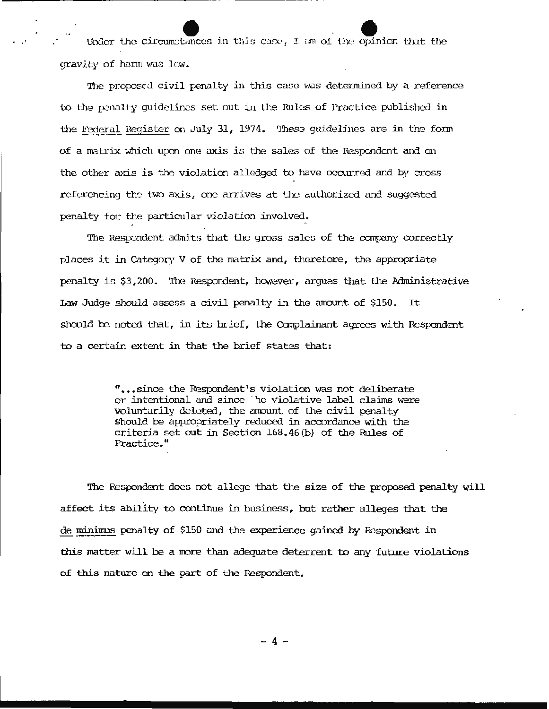under the circumstances in this case, I am of the opinion that the qravity of harm was low.

The proposed civil penalty in this case was determined by a reference to the penalty quidelines set out in the Rules of Practice published in the Federal Register on July 31, 1974. These guidelines are in the form of a matrix which upon one axis is the sales of the Respondent and on the other axis *is* the violation alledged to have occurred and by cross referencing the two axis, one arrives at the authorized and suggested penalty for the particular violation involved.

The Respondent admits that the gross sales of the company correctly places it in Category V of the matrix and, therefore, the appropriate penalty is \$3,200. The Respondent, however, argues that the Administrative Law Judge should assess a civil penalty in the amount of \$150. It should be noted that, in its brief, the Complainant agrees with Respondent to a certain extent in that the brief states that:

> " • • • since the Respondent's violation was not deliberate or intentional and since be violative label claims were voluntarily deleted, the amount of the civil penalty should be appropriately reduced in accordance with the criteria set out in Section 168. 46(b) of the Rules of Practice. "

The Respondent does not allege that the size of the proposed penalty will affect its ability to continue in business, but rather alleges that the de minimus penalty of \$150 and the experience gained by Respondent in this matter will be a more than adequate deterrent to any future violations of this nature on the part of the Respondent.

- 4 -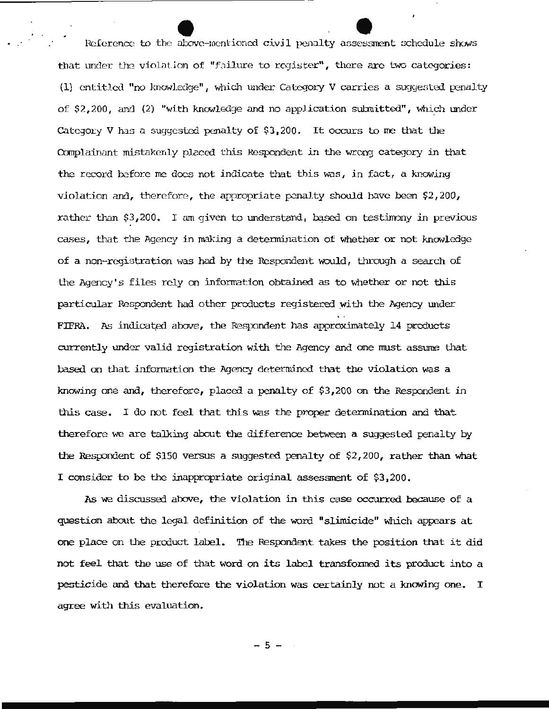Reference to the above-mentioned civil penalty assessment schedule shows that under the violation of "failure to register", there are two categories: (1) entitled "no knowledge", which under Category V carries a suggested penalty of \$2,200, and (2) "with knowledge and no application submitted", which under Category V has a suggested penalty of \$3,200. It occurs to me that the Complainant mistakenly placed this Respondent in the wrong category in that the record before me does not indicate that this was, in fact, a knowing violation and, therefore, the appropriate penalty should have been \$2,200, rather than \$3,200. I am given to understand, based on testimony in previous cases, that the Agency in making a determination of whether or not knowledge of a non-registration was had by the Respondent would, through a search of the Agency's files rely on information obtained as to whether or not this particular Respondent had other products registered with the Agency under FIFRA. As indicated above, the Respondent has approximately 14 products currently under valid registration with the Agency and one must assume that based on that information the Agency determined that the violation was a knowing one and, therefore, placed a penalty of \$3,200 on the Respondent in this case. I do not feel that this was the proper determination and that therefore we are talking about the difference between a suggested penalty by the Respondent of \$150 versus a suggested penalty of  $$2,200$ , rather than what I consider to be the inappropriate original assessment of \$3,200.

As we discussed above, the violation in this case occurred because of a question about the legal definition of the word "slimicide" which appears at one place on the product label. The Respondent takes the position that it did not feel that the use of that word on its label transformed its product into a pesticide and that therefore the violation was certainly not a knowing one. I agree with this evaluation.

 $-5 -$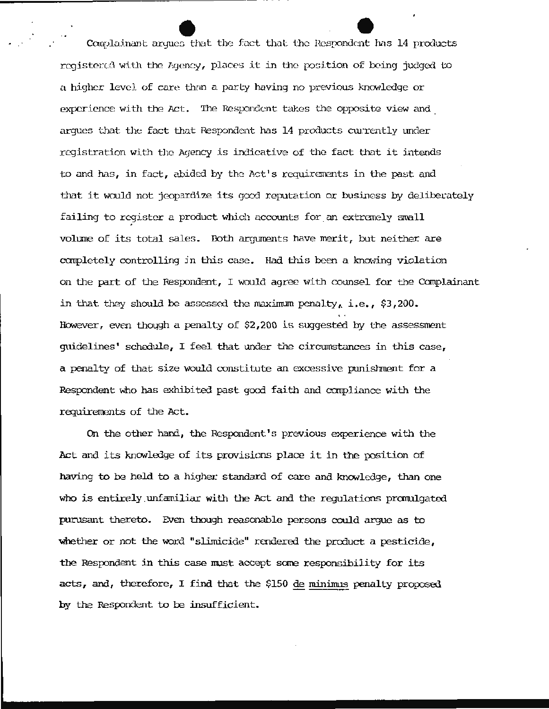Complainant argues that the fact that the Respondent has 14 products registered with the Agency, places it in the position of being judged to a higher level of care than a party having no previous knowledge or experience with the Act. The Respondent takes the opposite view and argues that the fact that Respondent has 14 products currently under registration with the Agency is indicative of the fact that it intends to and has, in fact, abided by the Act's requirements in the past and that it would not jeopardize its good reputation or business by deliberately failing to register a product which accounts for an extremely small volume of its total sales. Both arguments have merit, but neither are completely controlling in this case. Had this been a knowing violation on the part of the Respondent, I would agree with counsel for the Complainant in that they should be assessed the maximum penalty, i.e., \$3,200. However, even though a penalty of  $$2,200$  is suggested by the assessment guidelines' schedule, I feel that under the circumstances in this case, a penalty of that size would constitute an excessive punishment for a Respondent who has exhibited past good faith and compliance with the requirements of the Act.

On the other hand, the Respondent's previous experience with the Act and its knowledge of its provisions place it in the position of having to be held to a higher standard of care and knowledge, than one who is entirely unfamiliar with the Act and the requlations promulgated purusant thereto. Even though reasonable persons could argue as to whether or not the word "slimicide" rendered the product a pesticide, the Respondent in this case must accept some responsibility for its acts, and, therefore, I find that the \$150 de minimus penalty proposed by the Respondent to be insufficient.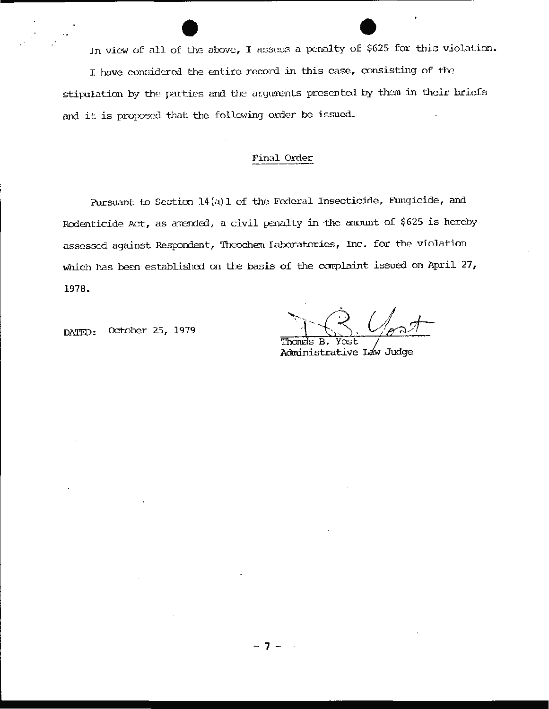In view of all of the above, I assess a penalty of \$625 for this violation. I have considered the entire record in this case, consisting of the stipulation by the parties and the arguments presented by them in their briefs and it is proposed that the following order be issued.

## Final Order

Pursuant to Section 14(a)1 of the Federal Insecticide, Fungicide, and Rodenticide Act, as amended, a civil penalty in the amount of \$625 is hereby assessed against Respondent, Theochem Laboratories, Inc. for the violation which has been established on the basis of the complaint issued on April 27, 1978.

October 25, 1979 DATED:

Thomas B. Yost Administrative Law Judge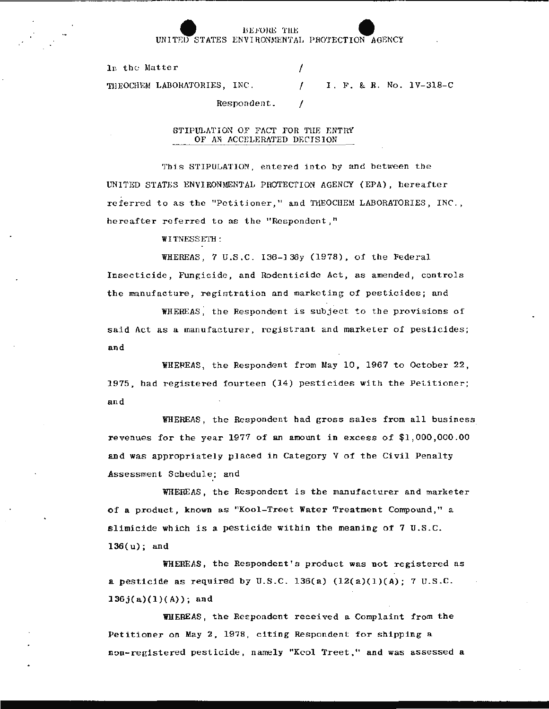#### BEFORE THE INITED STATES ENVIRONMENTAL PROTECTION AGENCY

7

In the Matter

I. F. & R. No. 1V-318-C THEOCHEM LABORATORIES, INC.  $\prime$ 

## Respondent.

#### STIPULATION OF FACT FOR THE ENTRY OF AN ACCELERATED DECISION

This STIPULATION, entered into by and between the UNITED STATES ENVIRONMENTAL PROTECTION AGENCY (EPA), hereafter referred to as the "Petitioner." and THEOCHEM LABORATORIES, INC., hereafter referred to as the "Respondent,"

WITNESSETH:

WHEREAS, 7 U.S.C. 136-136y (1978), of the Federal Insecticide, Fungicide, and Rodenticide Act, as amended, controls the manufacture, registration and marketing of pesticides; and

WHEREAS, the Respondent is subject to the provisions of said Act as a manufacturer, registrant and marketer of pesticides; and

WHEREAS, the Respondent from May 10, 1967 to October 22, 1975, had registered fourteen (14) pesticides with the Petitioner; and

WHEREAS, the Respondent had gross sales from all business revenues for the year 1977 of an amount in excess of \$1,000,000.00 and was appropriately placed in Category V of the Civil Penalty Assessment Schedule; and

WHEREAS, the Respondent is the manufacturer and marketer of a product, known as "Kool-Treet Water Treatment Compound," a slimicide which is a pesticide within the meaning of 7 U.S.C.  $136(u)$ ; and

WHEREAS, the Respondent's product was not registered as a pesticide as required by U.S.C. 136(a)  $(12(a)(1)(A))$ ; 7 U.S.C.  $136j(a)(1)(A)$ ; and

WHEREAS, the Respondent received a Complaint from the Petitioner on May 2, 1978, citing Respondent for shipping a non-registered pesticide, namely "Kcol Treet," and was assessed a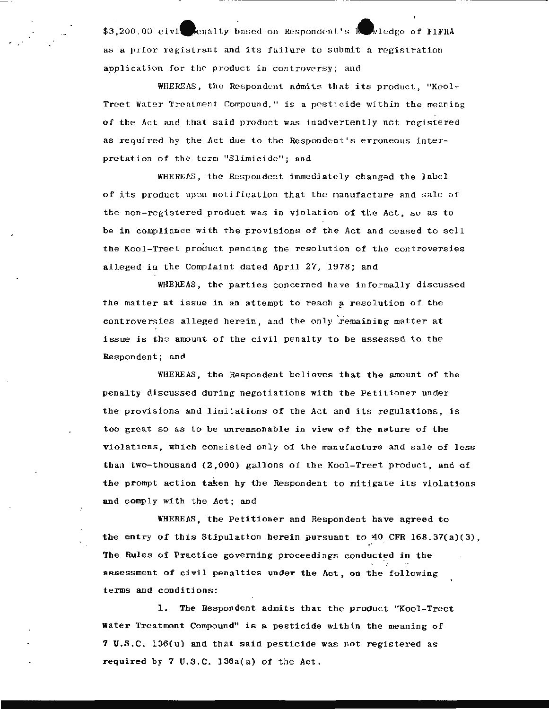\$3.200.00 civi-enalty based on Respondent's kewledge of FlFRA as a prior registrant and its failure to submit a registration application for the product in controversy; and

. . ........ ,. ., \_\_\_\_\_\_\_\_\_\_\_\_\_\_\_\_\_\_\_\_\_\_\_\_\_\_\_\_\_\_\_\_ \_

WHEREAS, the Respondent admits that its product, "Kool-Treet Water Treatment Compound," is a pesticide within the meaning of the Act and that said product was inadvertently not registered as required by the Act due to the Respondent's erroneous interpretation of the term "Slimicide"; and

WHEREAS, the Respondent immediately changed the label of its product upon notification that the manufacture and sale of the non-registered product was in violation of the Act, so as to be in compliance with the provisions of the Act and ceased to sell the Kool-Treet product pending the resolution of the controversies alleged in the Complaint duted April 27, 1978; and

WHEREAS, the parties concerned have informally discussed the matter at issue in an attempt to reach a resolution of the controversies alleged herein, and the only remaining matter at issue is the amount of the civil penalty to be assessed to the Respondent; and

WHEREAS, the Respondent believes that the amount of the penalty discussed during negotiations with the Petitioner under the provisions and limitations of the Act and its regulations, is too great so as to be unreasonable in view of the nature of the violations , which consisted only of the manufacture and sale of less than two-thousand (2,000) gallons of the Kool-Treet product, and of the prompt action taken by the Respondent to mitigate its violations and comply with the Act; and

WHEREAS, the Petitioner and Respondent have agreed to the entry of this Stipulation herein pursuant to  $40$  CFR  $168.37(a)(3)$ , The Rules of Practice governing proceedings conducted in the assessment of civil penalties under the Act, on the following terms and conditions:

1. The Respondent admits that the product "Kool-Treet Water Treatment Compound" is a pesticide within the meaning of 7 U.S.C. 136(u) and that said pesticide was not registered as required by 7 U.S.C. 136a(a) of the Act.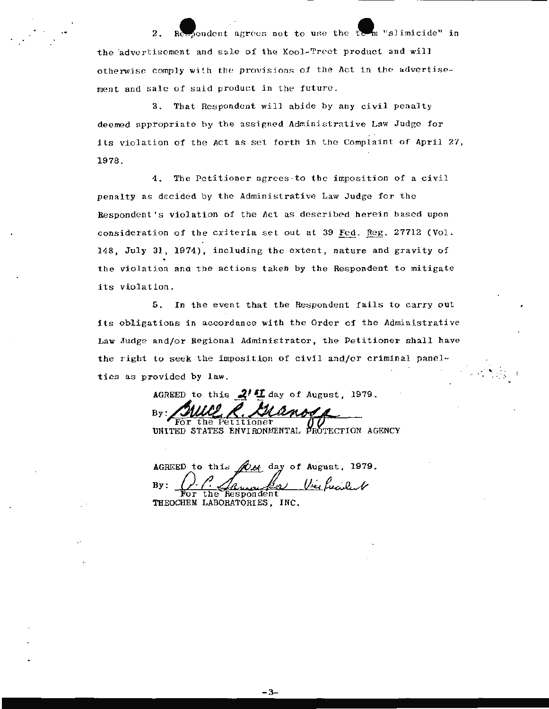sondent agrees not to use the te  $\P_{\mathfrak n}$  "slimicide" in  $2.$ the advertisement and sale of the Kool-Treet product and will otherwise comply with the provisions of the Act in the advertisement and sale of said product in the future.

3. That Respondent will abide by any civil penalty deemed appropriate by the assigned Administrative Law Judge for its violation of the Act as set forth in the Complaint of April 27, 1978.

4. The Petitioner agrees to the imposition of a civil penalty as decided by the Administrative Law Judge for the Respondent's violation of the Act as described herein based upon consideration of the criteria set out at 39 Fed. Reg. 27712 (Vol. 148, July 31, 1974), including the extent, nature and gravity of the violation and the actions taken by the Respondent to mitigate its violation.

5. In the event that the Respondent fails to carry out its obligations in accordance with the Order of the Administrative Law Judge and/or Regional Administrator, the Petitioner shall have the right to seek the imposition of civil and/or criminal panelties as provided by law.

AGREED to this  $2^{\prime}$  I day of August, 1979.

UNITED STATES ENVIRONMENTAL PROTECTION AGENCY

 $\mathscr{M}_{\mathscr{L}}$  day of August, 1979. AGREED to this Vice Recident  $By:$ the Respondent

- 3-

THEOCHEM LABORATORIES, INC.